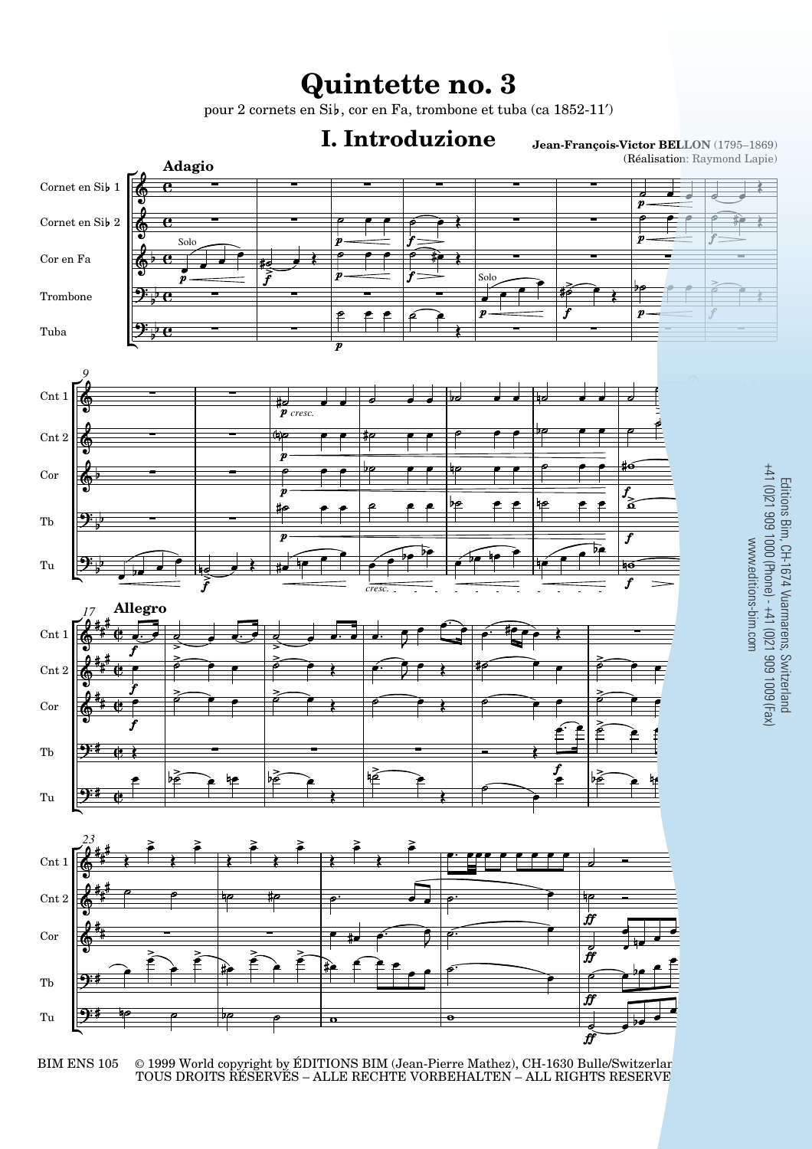## **Quintette no. 3**

pour 2 cornets en Sib, cor en Fa, trombone et tuba (ca 1852-11')

**I. Introduzione Jean-François-Victor BELLON** (1795–1869)

(Réalisation: Raymond Lapie)



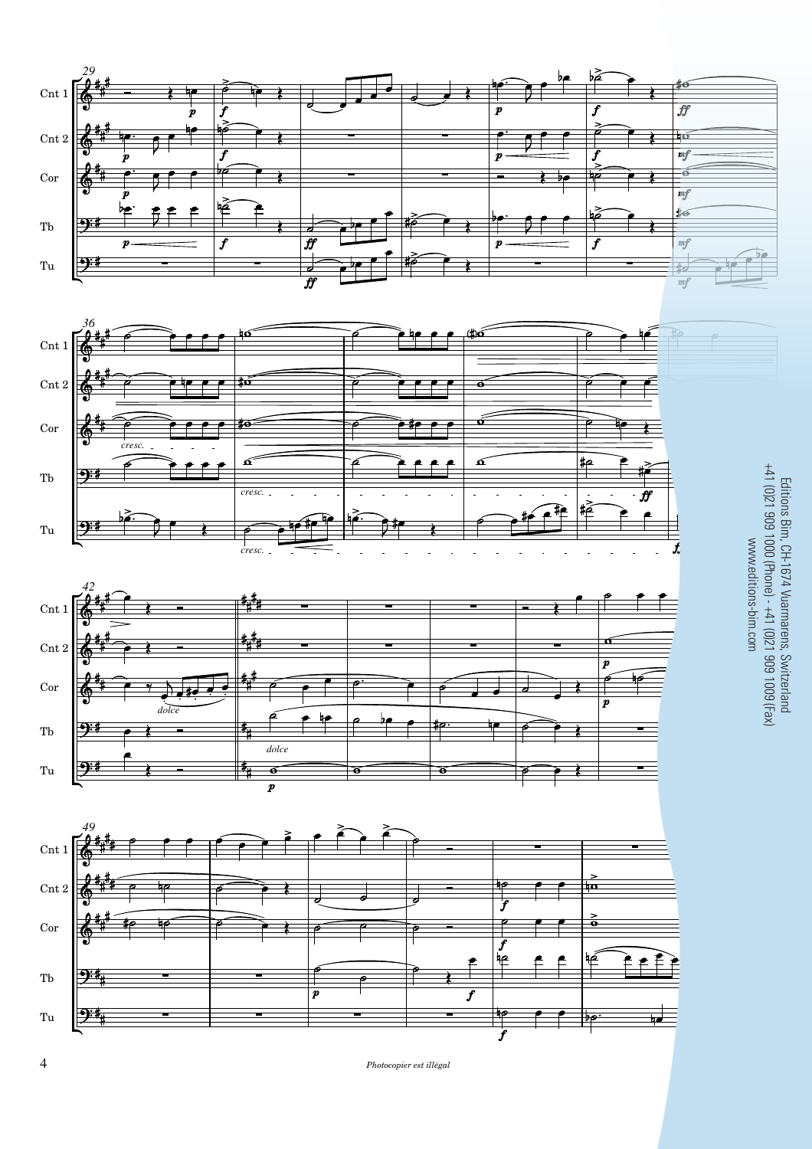





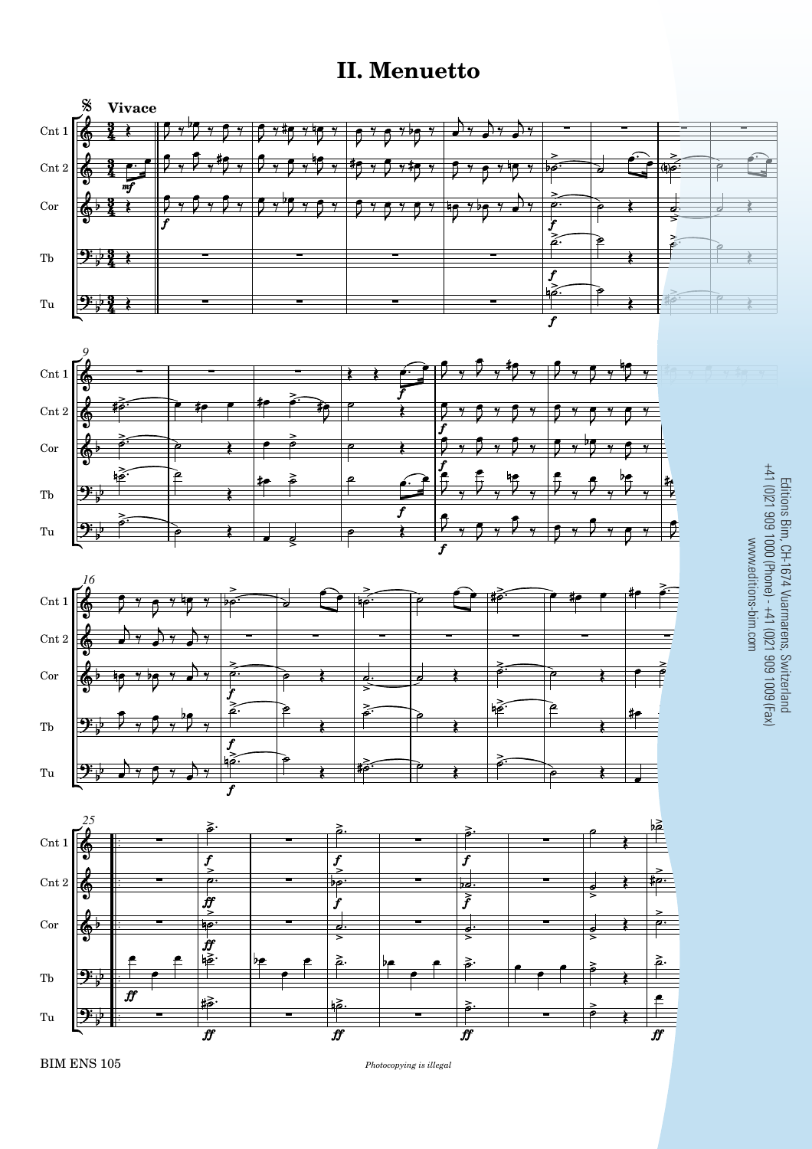## **II. Menuetto**

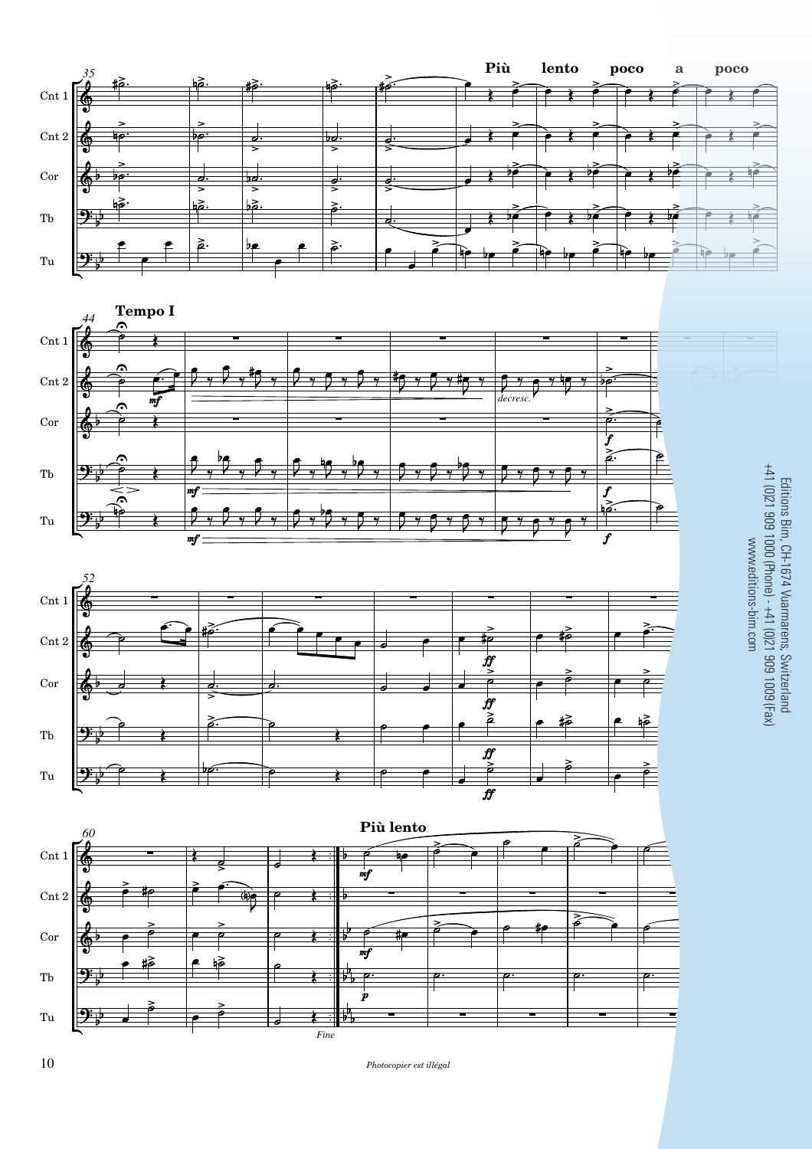







Editions Bim, CH-1674 Vuarmarens, Switzerland<br>+41 (0)21 909 1000 (Phone) - +41 (0)21 909 1009 (Fax) +41 (0)21 909 1000 (Phone) - +41 (0)21 909 1009 (Fax) Editions Bim, CH-1674 Vuarmarens, Switzerland www.editions-bim.com www.editions-bim.com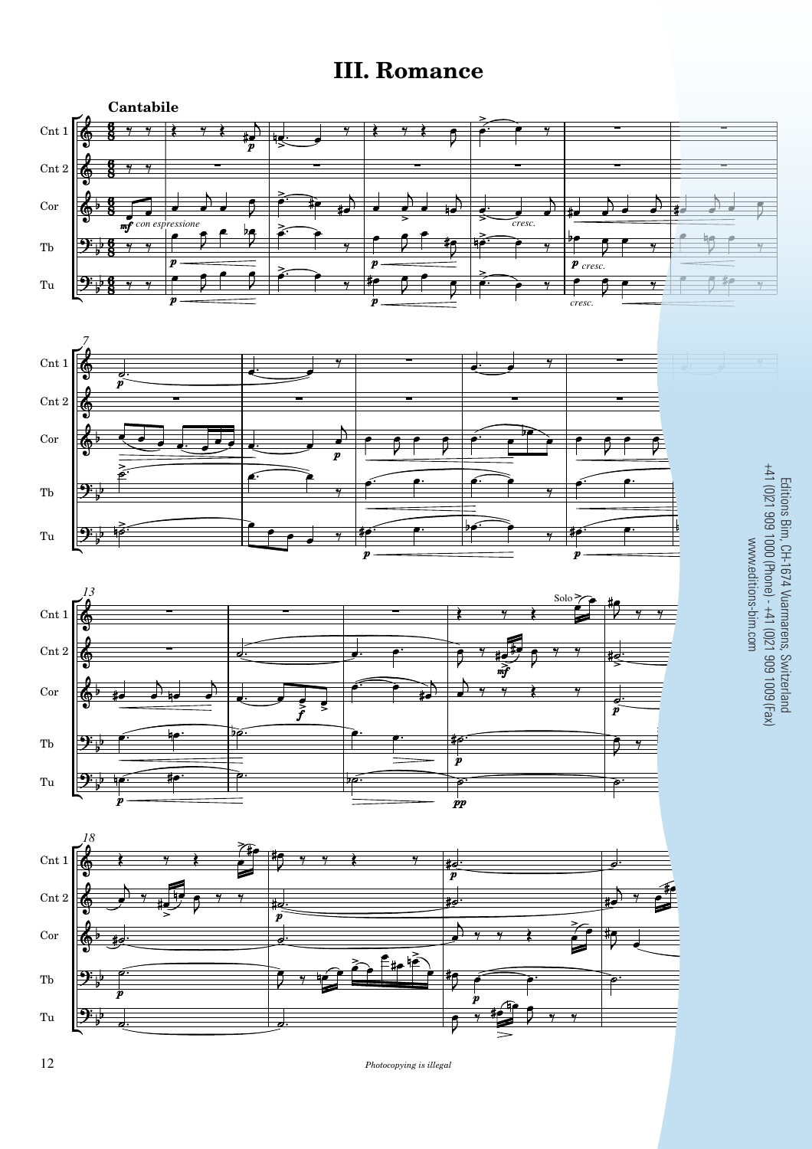## **III. Romance**



 $12$  *Photocopying is illegal* 

Editions Bim, CH-1674 Vuarmarens, Switzerland<br>+41 (0)21 909 1000 (Phone) - +41 (0)21 909 1009 (Fax)<br>www.editions-bim.com +41 (0)21 909 1000 (Phone) - +41 (0)21 909 1009 (Fax) Editions Bim, CH-1674 Vuarmarens, Switzerland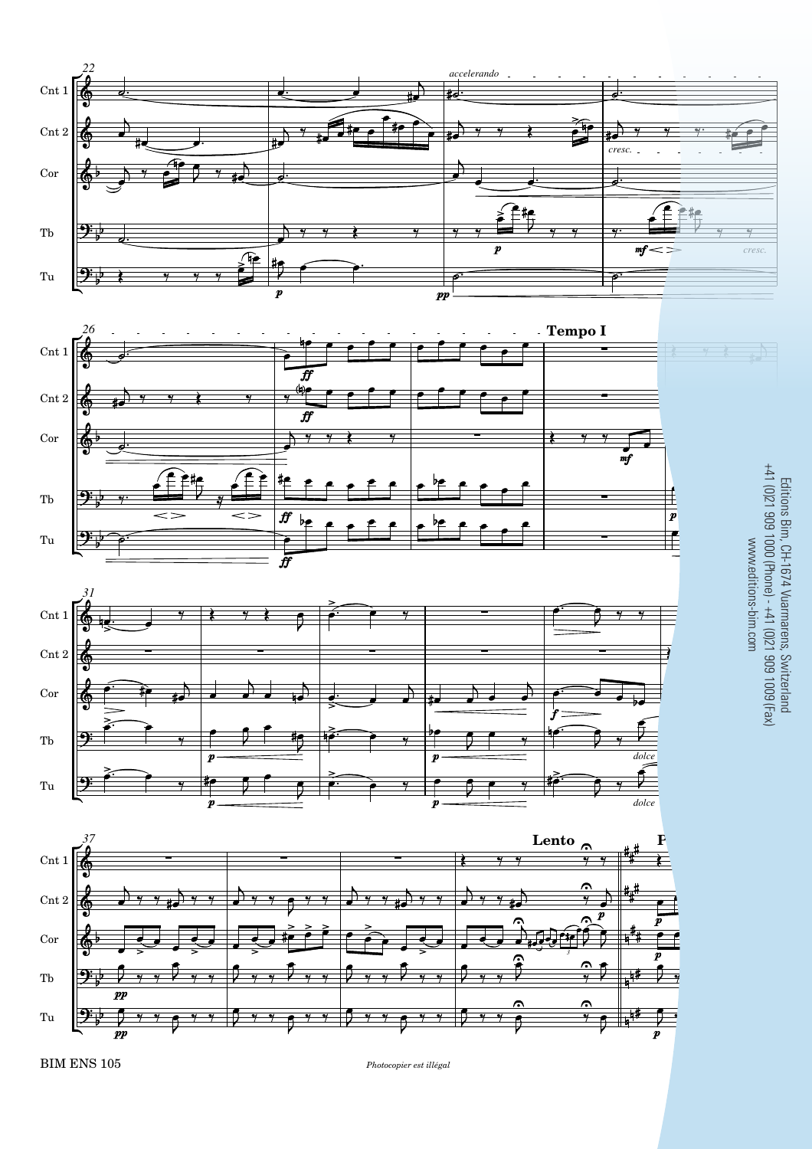







Editions Bim, CH-1674 Vuarmarens, Switzerland<br>+41 (0)21 909 1000 (Phone) - +41 (0)21 909 1009 (Fax) +41 (0)21 909 1000 (Phone) - +41 (0)21 909 1009 (Fax) Editions Bim, CH-1674 Vuarmarens, Switzerland www.editions-bim.com www.editions-bim.com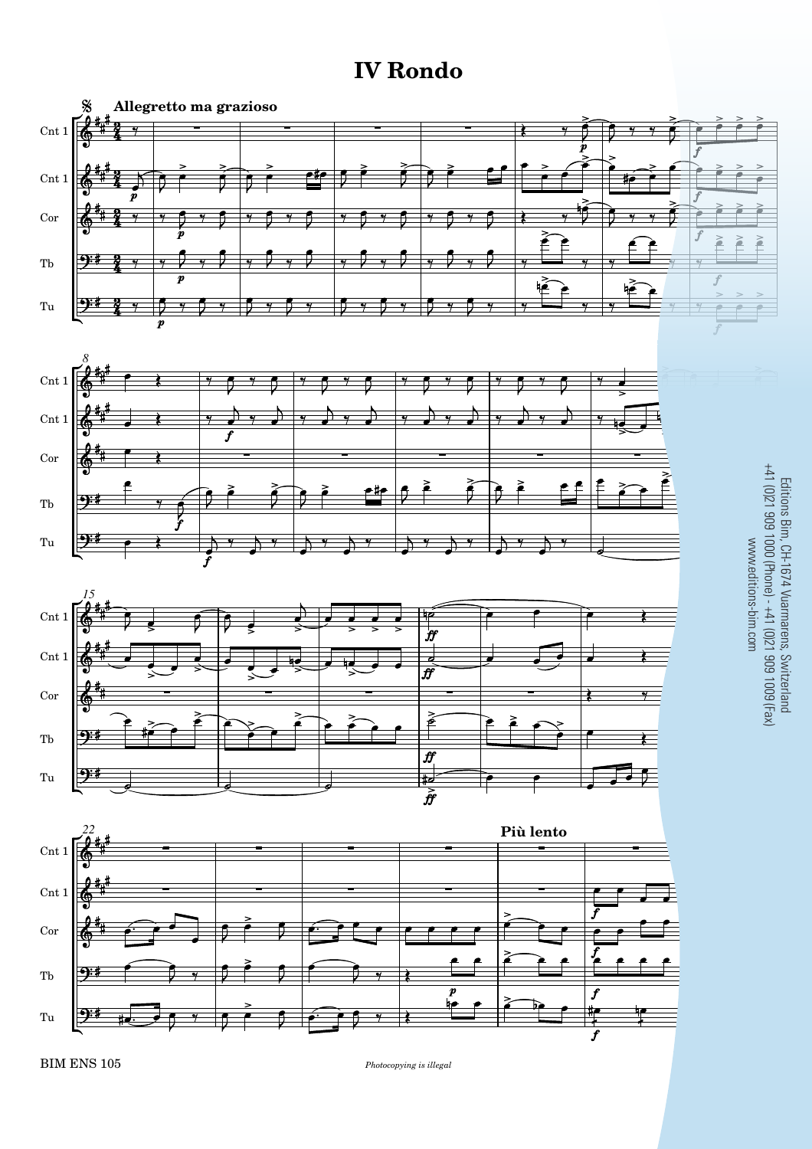## **IV Rondo**